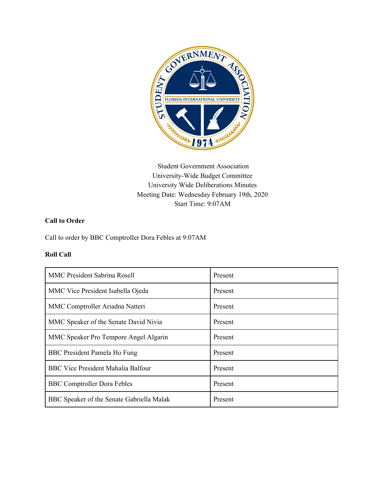

Student Government Association University-Wide Budget Committee University Wide Deliberations Minutes Meeting Date: Wednesday February 19th, 2020 Start Time: 9:07AM

# **Call to Order**

Call to order by BBC Comptroller Dora Febles at 9:07AM

#### **Roll Call**

| <b>MMC President Sabrina Rosell</b>       | Present |
|-------------------------------------------|---------|
| MMC Vice President Isabella Ojeda         | Present |
| MMC Comptroller Ariadna Natteri           | Present |
| MMC Speaker of the Senate David Nivia     | Present |
| MMC Speaker Pro Tempore Angel Algarin     | Present |
| BBC President Pamela Ho Fung              | Present |
| <b>BBC Vice President Mahalia Balfour</b> | Present |
| <b>BBC</b> Comptroller Dora Febles        | Present |
| BBC Speaker of the Senate Gabriella Malak | Present |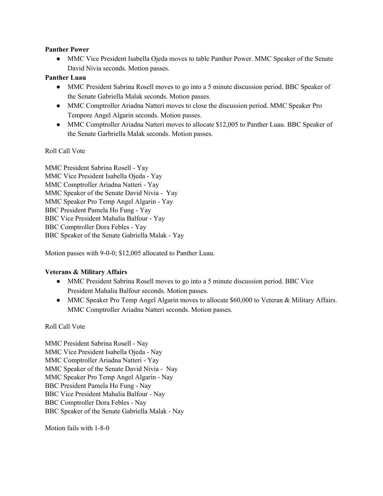#### **Panther Power**

● MMC Vice President Isabella Ojeda moves to table Panther Power. MMC Speaker of the Senate David Nivia seconds. Motion passes.

## **Panther Luau**

- MMC President Sabrina Rosell moves to go into a 5 minute discussion period. BBC Speaker of the Senate Gabriella Malak seconds. Motion passes.
- MMC Comptroller Ariadna Natteri moves to close the discussion period. MMC Speaker Pro Tempore Angel Algarin seconds. Motion passes.
- MMC Comptroller Ariadna Natteri moves to allocate \$12,005 to Panther Luau. BBC Speaker of the Senate Garbriella Malak seconds. Motion passes.

#### Roll Call Vote

MMC President Sabrina Rosell - Yay MMC Vice President Isabella Ojeda - Yay MMC Comptroller Ariadna Natteri - Yay MMC Speaker of the Senate David Nivia - Yay MMC Speaker Pro Temp Angel Algarin - Yay BBC President Pamela Ho Fung - Yay BBC Vice President Mahalia Balfour - Yay BBC Comptroller Dora Febles - Yay BBC Speaker of the Senate Gabriella Malak - Yay

Motion passes with 9-0-0; \$12,005 allocated to Panther Luau.

## **Veterans & Military Affairs**

- MMC President Sabrina Rosell moves to go into a 5 minute discussion period. BBC Vice President Mahalia Balfour seconds. Motion passes.
- MMC Speaker Pro Temp Angel Algarin moves to allocate \$60,000 to Veteran & Military Affairs. MMC Comptroller Ariadna Natteri seconds. Motion passes.

## Roll Call Vote

MMC President Sabrina Rosell - Nay MMC Vice President Isabella Ojeda - Nay MMC Comptroller Ariadna Natteri - Yay MMC Speaker of the Senate David Nivia - Nay MMC Speaker Pro Temp Angel Algarin - Nay BBC President Pamela Ho Fung - Nay BBC Vice President Mahalia Balfour - Nay BBC Comptroller Dora Febles - Nay BBC Speaker of the Senate Gabriella Malak - Nay

Motion fails with 1-8-0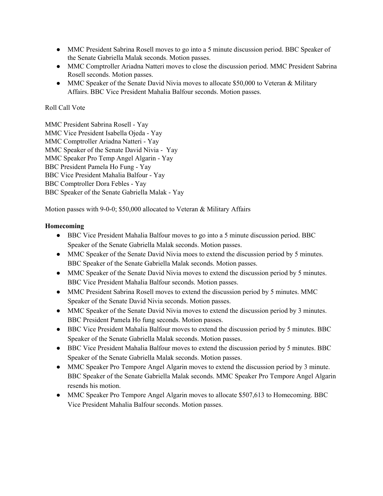- MMC President Sabrina Rosell moves to go into a 5 minute discussion period. BBC Speaker of the Senate Gabriella Malak seconds. Motion passes.
- MMC Comptroller Ariadna Natteri moves to close the discussion period. MMC President Sabrina Rosell seconds. Motion passes.
- MMC Speaker of the Senate David Nivia moves to allocate \$50,000 to Veteran & Military Affairs. BBC Vice President Mahalia Balfour seconds. Motion passes.

MMC President Sabrina Rosell - Yay MMC Vice President Isabella Ojeda - Yay MMC Comptroller Ariadna Natteri - Yay MMC Speaker of the Senate David Nivia - Yay MMC Speaker Pro Temp Angel Algarin - Yay BBC President Pamela Ho Fung - Yay BBC Vice President Mahalia Balfour - Yay BBC Comptroller Dora Febles - Yay BBC Speaker of the Senate Gabriella Malak - Yay

Motion passes with 9-0-0; \$50,000 allocated to Veteran & Military Affairs

## **Homecoming**

- BBC Vice President Mahalia Balfour moves to go into a 5 minute discussion period. BBC Speaker of the Senate Gabriella Malak seconds. Motion passes.
- MMC Speaker of the Senate David Nivia moes to extend the discussion period by 5 minutes. BBC Speaker of the Senate Gabriella Malak seconds. Motion passes.
- MMC Speaker of the Senate David Nivia moves to extend the discussion period by 5 minutes. BBC Vice President Mahalia Balfour seconds. Motion passes.
- MMC President Sabrina Rosell moves to extend the discussion period by 5 minutes. MMC Speaker of the Senate David Nivia seconds. Motion passes.
- MMC Speaker of the Senate David Nivia moves to extend the discussion period by 3 minutes. BBC President Pamela Ho fung seconds. Motion passes.
- BBC Vice President Mahalia Balfour moves to extend the discussion period by 5 minutes. BBC Speaker of the Senate Gabriella Malak seconds. Motion passes.
- BBC Vice President Mahalia Balfour moves to extend the discussion period by 5 minutes. BBC Speaker of the Senate Gabriella Malak seconds. Motion passes.
- MMC Speaker Pro Tempore Angel Algarin moves to extend the discussion period by 3 minute. BBC Speaker of the Senate Gabriella Malak seconds. MMC Speaker Pro Tempore Angel Algarin resends his motion.
- MMC Speaker Pro Tempore Angel Algarin moves to allocate \$507,613 to Homecoming. BBC Vice President Mahalia Balfour seconds. Motion passes.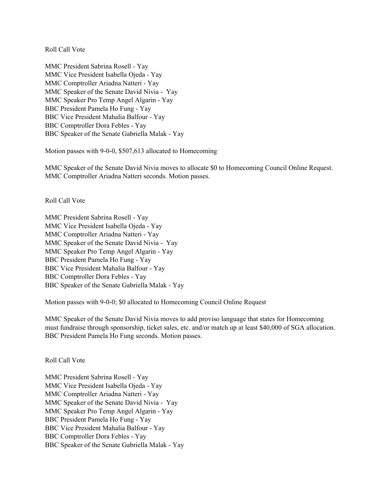MMC President Sabrina Rosell - Yay MMC Vice President Isabella Ojeda - Yay MMC Comptroller Ariadna Natteri - Yay MMC Speaker of the Senate David Nivia - Yay MMC Speaker Pro Temp Angel Algarin - Yay BBC President Pamela Ho Fung - Yay BBC Vice President Mahalia Balfour - Yay BBC Comptroller Dora Febles - Yay BBC Speaker of the Senate Gabriella Malak - Yay

Motion passes with 9-0-0, \$507,613 allocated to Homecoming

MMC Speaker of the Senate David Nivia moves to allocate \$0 to Homecoming Council Online Request. MMC Comptroller Ariadna Natteri seconds. Motion passes.

Roll Call Vote

MMC President Sabrina Rosell - Yay MMC Vice President Isabella Ojeda - Yay MMC Comptroller Ariadna Natteri - Yay MMC Speaker of the Senate David Nivia - Yay MMC Speaker Pro Temp Angel Algarin - Yay BBC President Pamela Ho Fung - Yay BBC Vice President Mahalia Balfour - Yay BBC Comptroller Dora Febles - Yay BBC Speaker of the Senate Gabriella Malak - Yay

Motion passes with 9-0-0; \$0 allocated to Homecoming Council Online Request

MMC Speaker of the Senate David Nivia moves to add proviso language that states for Homecoming must fundraise through sponsorship, ticket sales, etc. and/or match up at least \$40,000 of SGA allocation. BBC President Pamela Ho Fung seconds. Motion passes.

Roll Call Vote

MMC President Sabrina Rosell - Yay MMC Vice President Isabella Ojeda - Yay MMC Comptroller Ariadna Natteri - Yay MMC Speaker of the Senate David Nivia - Yay MMC Speaker Pro Temp Angel Algarin - Yay BBC President Pamela Ho Fung - Yay BBC Vice President Mahalia Balfour - Yay BBC Comptroller Dora Febles - Yay BBC Speaker of the Senate Gabriella Malak - Yay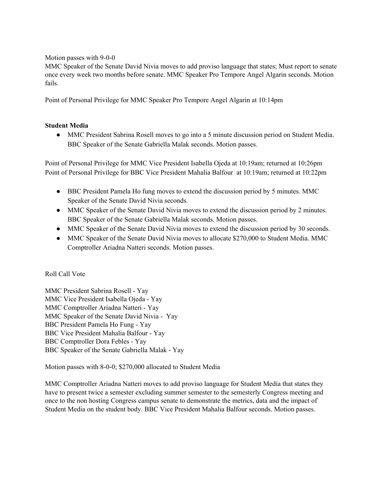Motion passes with 9-0-0

MMC Speaker of the Senate David Nivia moves to add proviso language that states; Must report to senate once every week two months before senate. MMC Speaker Pro Tempore Angel Algarin seconds. Motion fails.

Point of Personal Privilege for MMC Speaker Pro Tempore Angel Algarin at 10:14pm

# **Student Media**

• MMC President Sabrina Rosell moves to go into a 5 minute discussion period on Student Media. BBC Speaker of the Senate Gabriella Malak seconds. Motion passes.

Point of Personal Privilege for MMC Vice President Isabella Ojeda at 10:19am; returned at 10:26pm Point of Personal Privilege for BBC Vice President Mahalia Balfour at 10:19am; returned at 10:22pm

- BBC President Pamela Ho fung moves to extend the discussion period by 5 minutes. MMC Speaker of the Senate David Nivia seconds.
- MMC Speaker of the Senate David Nivia moves to extend the discussion period by 2 minutes. BBC Speaker of the Senate Gabriella Malak seconds. Motion passes.
- MMC Speaker of the Senate David Nivia moves to extend the discussion period by 30 seconds.
- MMC Speaker of the Senate David Nivia moves to allocate \$270,000 to Student Media. MMC Comptroller Ariadna Natteri seconds. Motion passes.

## Roll Call Vote

MMC President Sabrina Rosell - Yay MMC Vice President Isabella Ojeda - Yay MMC Comptroller Ariadna Natteri - Yay MMC Speaker of the Senate David Nivia - Yay BBC President Pamela Ho Fung - Yay BBC Vice President Mahalia Balfour - Yay BBC Comptroller Dora Febles - Yay BBC Speaker of the Senate Gabriella Malak - Yay

Motion passes with 8-0-0; \$270,000 allocated to Student Media

MMC Comptroller Ariadna Natteri moves to add proviso language for Student Media that states they have to present twice a semester excluding summer semester to the semesterly Congress meeting and once to the non hosting Congress campus senate to demonstrate the metrics, data and the impact of Student Media on the student body. BBC Vice President Mahalia Balfour seconds. Motion passes.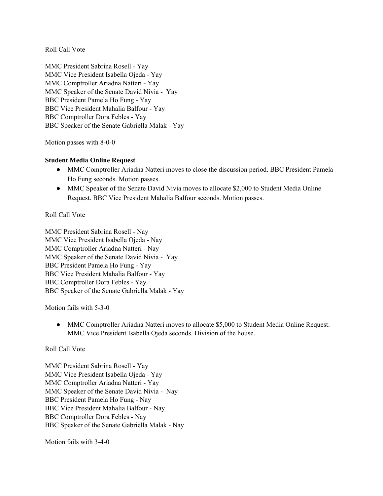MMC President Sabrina Rosell - Yay MMC Vice President Isabella Ojeda - Yay MMC Comptroller Ariadna Natteri - Yay MMC Speaker of the Senate David Nivia - Yay BBC President Pamela Ho Fung - Yay BBC Vice President Mahalia Balfour - Yay BBC Comptroller Dora Febles - Yay BBC Speaker of the Senate Gabriella Malak - Yay

Motion passes with 8-0-0

#### **Student Media Online Request**

- MMC Comptroller Ariadna Natteri moves to close the discussion period. BBC President Pamela Ho Fung seconds. Motion passes.
- MMC Speaker of the Senate David Nivia moves to allocate \$2,000 to Student Media Online Request. BBC Vice President Mahalia Balfour seconds. Motion passes.

#### Roll Call Vote

MMC President Sabrina Rosell - Nay MMC Vice President Isabella Ojeda - Nay MMC Comptroller Ariadna Natteri - Nay MMC Speaker of the Senate David Nivia - Yay BBC President Pamela Ho Fung - Yay BBC Vice President Mahalia Balfour - Yay BBC Comptroller Dora Febles - Yay BBC Speaker of the Senate Gabriella Malak - Yay

Motion fails with 5-3-0

• MMC Comptroller Ariadna Natteri moves to allocate \$5,000 to Student Media Online Request. MMC Vice President Isabella Ojeda seconds. Division of the house.

#### Roll Call Vote

MMC President Sabrina Rosell - Yay MMC Vice President Isabella Ojeda - Yay MMC Comptroller Ariadna Natteri - Yay MMC Speaker of the Senate David Nivia - Nay BBC President Pamela Ho Fung - Nay BBC Vice President Mahalia Balfour - Nay BBC Comptroller Dora Febles - Nay BBC Speaker of the Senate Gabriella Malak - Nay

Motion fails with 3-4-0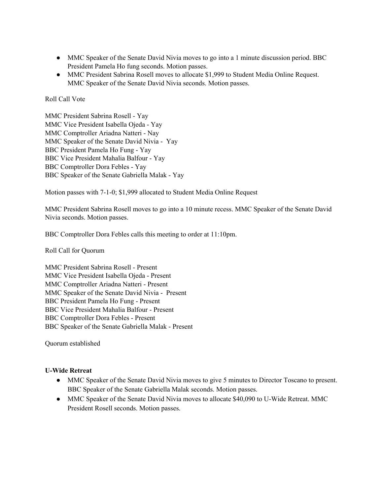- MMC Speaker of the Senate David Nivia moves to go into a 1 minute discussion period. BBC President Pamela Ho fung seconds. Motion passes.
- MMC President Sabrina Rosell moves to allocate \$1,999 to Student Media Online Request. MMC Speaker of the Senate David Nivia seconds. Motion passes.

MMC President Sabrina Rosell - Yay MMC Vice President Isabella Ojeda - Yay MMC Comptroller Ariadna Natteri - Nay MMC Speaker of the Senate David Nivia - Yay BBC President Pamela Ho Fung - Yay BBC Vice President Mahalia Balfour - Yay BBC Comptroller Dora Febles - Yay BBC Speaker of the Senate Gabriella Malak - Yay

Motion passes with 7-1-0; \$1,999 allocated to Student Media Online Request

MMC President Sabrina Rosell moves to go into a 10 minute recess. MMC Speaker of the Senate David Nivia seconds. Motion passes.

BBC Comptroller Dora Febles calls this meeting to order at 11:10pm.

Roll Call for Quorum

MMC President Sabrina Rosell - Present MMC Vice President Isabella Ojeda - Present MMC Comptroller Ariadna Natteri - Present MMC Speaker of the Senate David Nivia - Present BBC President Pamela Ho Fung - Present BBC Vice President Mahalia Balfour - Present BBC Comptroller Dora Febles - Present BBC Speaker of the Senate Gabriella Malak - Present

Quorum established

## **U-Wide Retreat**

- **●** MMC Speaker of the Senate David Nivia moves to give 5 minutes to Director Toscano to present. BBC Speaker of the Senate Gabriella Malak seconds. Motion passes.
- MMC Speaker of the Senate David Nivia moves to allocate \$40,090 to U-Wide Retreat. MMC President Rosell seconds. Motion passes.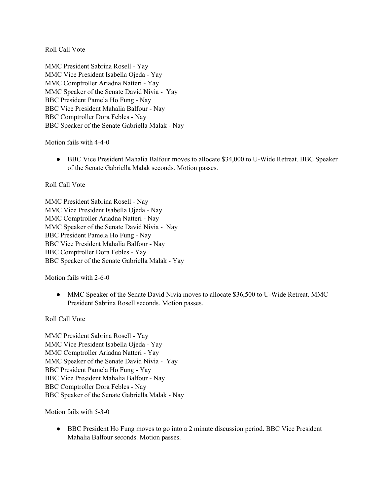MMC President Sabrina Rosell - Yay MMC Vice President Isabella Ojeda - Yay MMC Comptroller Ariadna Natteri - Yay MMC Speaker of the Senate David Nivia - Yay BBC President Pamela Ho Fung - Nay BBC Vice President Mahalia Balfour - Nay BBC Comptroller Dora Febles - Nay BBC Speaker of the Senate Gabriella Malak - Nay

Motion fails with 4-4-0

● BBC Vice President Mahalia Balfour moves to allocate \$34,000 to U-Wide Retreat. BBC Speaker of the Senate Gabriella Malak seconds. Motion passes.

#### Roll Call Vote

MMC President Sabrina Rosell - Nay MMC Vice President Isabella Ojeda - Nay MMC Comptroller Ariadna Natteri - Nay MMC Speaker of the Senate David Nivia - Nay BBC President Pamela Ho Fung - Nay BBC Vice President Mahalia Balfour - Nay BBC Comptroller Dora Febles - Yay BBC Speaker of the Senate Gabriella Malak - Yay

Motion fails with 2-6-0

• MMC Speaker of the Senate David Nivia moves to allocate \$36,500 to U-Wide Retreat. MMC President Sabrina Rosell seconds. Motion passes.

Roll Call Vote

MMC President Sabrina Rosell - Yay MMC Vice President Isabella Ojeda - Yay MMC Comptroller Ariadna Natteri - Yay MMC Speaker of the Senate David Nivia - Yay BBC President Pamela Ho Fung - Yay BBC Vice President Mahalia Balfour - Nay BBC Comptroller Dora Febles - Nay BBC Speaker of the Senate Gabriella Malak - Nay

Motion fails with 5-3-0

• BBC President Ho Fung moves to go into a 2 minute discussion period. BBC Vice President Mahalia Balfour seconds. Motion passes.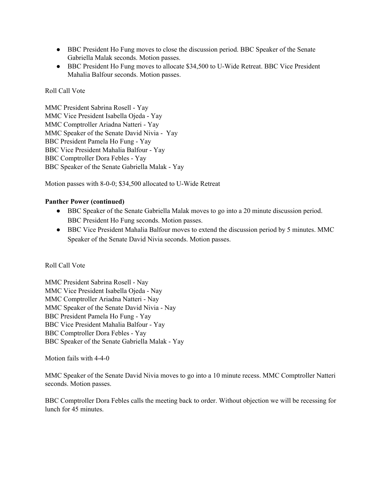- BBC President Ho Fung moves to close the discussion period. BBC Speaker of the Senate Gabriella Malak seconds. Motion passes.
- BBC President Ho Fung moves to allocate \$34,500 to U-Wide Retreat. BBC Vice President Mahalia Balfour seconds. Motion passes.

MMC President Sabrina Rosell - Yay MMC Vice President Isabella Ojeda - Yay MMC Comptroller Ariadna Natteri - Yay MMC Speaker of the Senate David Nivia - Yay BBC President Pamela Ho Fung - Yay BBC Vice President Mahalia Balfour - Yay BBC Comptroller Dora Febles - Yay BBC Speaker of the Senate Gabriella Malak - Yay

Motion passes with 8-0-0; \$34,500 allocated to U-Wide Retreat

## **Panther Power (continued)**

- BBC Speaker of the Senate Gabriella Malak moves to go into a 20 minute discussion period. BBC President Ho Fung seconds. Motion passes.
- BBC Vice President Mahalia Balfour moves to extend the discussion period by 5 minutes. MMC Speaker of the Senate David Nivia seconds. Motion passes.

## Roll Call Vote

MMC President Sabrina Rosell - Nay MMC Vice President Isabella Ojeda - Nay MMC Comptroller Ariadna Natteri - Nay MMC Speaker of the Senate David Nivia - Nay BBC President Pamela Ho Fung - Yay BBC Vice President Mahalia Balfour - Yay BBC Comptroller Dora Febles - Yay BBC Speaker of the Senate Gabriella Malak - Yay

Motion fails with 4-4-0

MMC Speaker of the Senate David Nivia moves to go into a 10 minute recess. MMC Comptroller Natteri seconds. Motion passes.

BBC Comptroller Dora Febles calls the meeting back to order. Without objection we will be recessing for lunch for 45 minutes.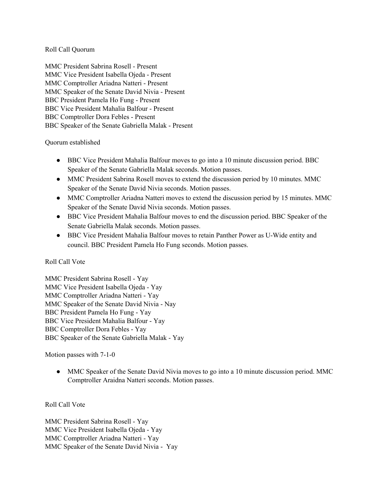### Roll Call Quorum

MMC President Sabrina Rosell - Present MMC Vice President Isabella Ojeda - Present MMC Comptroller Ariadna Natteri - Present MMC Speaker of the Senate David Nivia - Present BBC President Pamela Ho Fung - Present BBC Vice President Mahalia Balfour - Present BBC Comptroller Dora Febles - Present BBC Speaker of the Senate Gabriella Malak - Present

#### Quorum established

- BBC Vice President Mahalia Balfour moves to go into a 10 minute discussion period. BBC Speaker of the Senate Gabriella Malak seconds. Motion passes.
- MMC President Sabrina Rosell moves to extend the discussion period by 10 minutes. MMC Speaker of the Senate David Nivia seconds. Motion passes.
- MMC Comptroller Ariadna Natteri moves to extend the discussion period by 15 minutes. MMC Speaker of the Senate David Nivia seconds. Motion passes.
- BBC Vice President Mahalia Balfour moves to end the discussion period. BBC Speaker of the Senate Gabriella Malak seconds. Motion passes.
- BBC Vice President Mahalia Balfour moves to retain Panther Power as U-Wide entity and council. BBC President Pamela Ho Fung seconds. Motion passes.

## Roll Call Vote

MMC President Sabrina Rosell - Yay MMC Vice President Isabella Ojeda - Yay MMC Comptroller Ariadna Natteri - Yay MMC Speaker of the Senate David Nivia - Nay BBC President Pamela Ho Fung - Yay BBC Vice President Mahalia Balfour - Yay BBC Comptroller Dora Febles - Yay BBC Speaker of the Senate Gabriella Malak - Yay

## Motion passes with 7-1-0

• MMC Speaker of the Senate David Nivia moves to go into a 10 minute discussion period. MMC Comptroller Araidna Natteri seconds. Motion passes.

## Roll Call Vote

MMC President Sabrina Rosell - Yay MMC Vice President Isabella Ojeda - Yay MMC Comptroller Ariadna Natteri - Yay MMC Speaker of the Senate David Nivia - Yay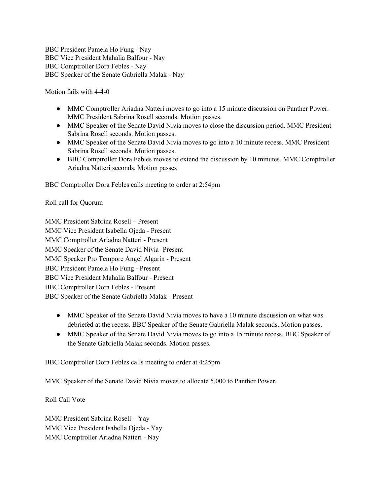BBC President Pamela Ho Fung - Nay BBC Vice President Mahalia Balfour - Nay BBC Comptroller Dora Febles - Nay BBC Speaker of the Senate Gabriella Malak - Nay

Motion fails with 4-4-0

- MMC Comptroller Ariadna Natteri moves to go into a 15 minute discussion on Panther Power. MMC President Sabrina Rosell seconds. Motion passes.
- MMC Speaker of the Senate David Nivia moves to close the discussion period. MMC President Sabrina Rosell seconds. Motion passes.
- MMC Speaker of the Senate David Nivia moves to go into a 10 minute recess. MMC President Sabrina Rosell seconds. Motion passes.
- BBC Comptroller Dora Febles moves to extend the discussion by 10 minutes. MMC Comptroller Ariadna Natteri seconds. Motion passes

BBC Comptroller Dora Febles calls meeting to order at 2:54pm

Roll call for Quorum

MMC President Sabrina Rosell – Present MMC Vice President Isabella Ojeda - Present MMC Comptroller Ariadna Natteri - Present MMC Speaker of the Senate David Nivia- Present MMC Speaker Pro Tempore Angel Algarin - Present BBC President Pamela Ho Fung - Present BBC Vice President Mahalia Balfour - Present BBC Comptroller Dora Febles - Present BBC Speaker of the Senate Gabriella Malak - Present

- MMC Speaker of the Senate David Nivia moves to have a 10 minute discussion on what was debriefed at the recess. BBC Speaker of the Senate Gabriella Malak seconds. Motion passes.
- MMC Speaker of the Senate David Nivia moves to go into a 15 minute recess. BBC Speaker of the Senate Gabriella Malak seconds. Motion passes.

BBC Comptroller Dora Febles calls meeting to order at 4:25pm

MMC Speaker of the Senate David Nivia moves to allocate 5,000 to Panther Power.

Roll Call Vote

MMC President Sabrina Rosell – Yay MMC Vice President Isabella Ojeda - Yay MMC Comptroller Ariadna Natteri - Nay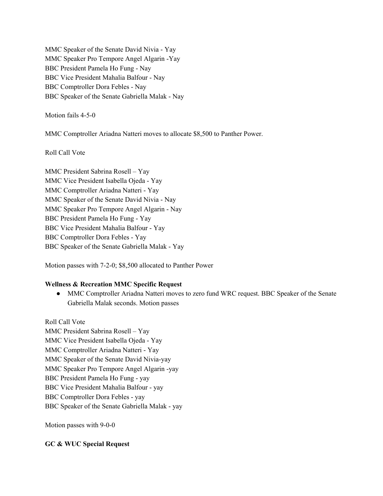MMC Speaker of the Senate David Nivia - Yay MMC Speaker Pro Tempore Angel Algarin -Yay BBC President Pamela Ho Fung - Nay BBC Vice President Mahalia Balfour - Nay BBC Comptroller Dora Febles - Nay BBC Speaker of the Senate Gabriella Malak - Nay

Motion fails 4-5-0

MMC Comptroller Ariadna Natteri moves to allocate \$8,500 to Panther Power.

Roll Call Vote

MMC President Sabrina Rosell – Yay MMC Vice President Isabella Ojeda - Yay MMC Comptroller Ariadna Natteri - Yay MMC Speaker of the Senate David Nivia - Nay MMC Speaker Pro Tempore Angel Algarin - Nay BBC President Pamela Ho Fung - Yay BBC Vice President Mahalia Balfour - Yay BBC Comptroller Dora Febles - Yay BBC Speaker of the Senate Gabriella Malak - Yay

Motion passes with 7-2-0; \$8,500 allocated to Panther Power

## **Wellness & Recreation MMC Specific Request**

• MMC Comptroller Ariadna Natteri moves to zero fund WRC request. BBC Speaker of the Senate Gabriella Malak seconds. Motion passes

Roll Call Vote MMC President Sabrina Rosell – Yay MMC Vice President Isabella Ojeda - Yay MMC Comptroller Ariadna Natteri - Yay MMC Speaker of the Senate David Nivia-yay MMC Speaker Pro Tempore Angel Algarin -yay BBC President Pamela Ho Fung - yay BBC Vice President Mahalia Balfour - yay BBC Comptroller Dora Febles - yay BBC Speaker of the Senate Gabriella Malak - yay

Motion passes with 9-0-0

## **GC & WUC Special Request**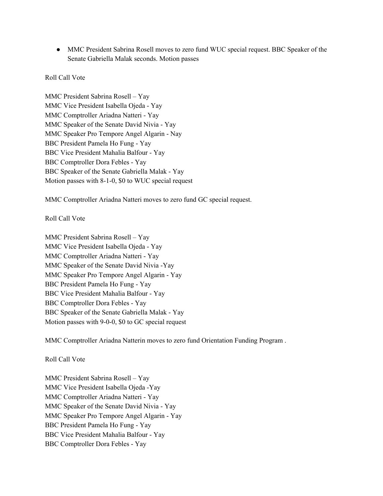● MMC President Sabrina Rosell moves to zero fund WUC special request. BBC Speaker of the Senate Gabriella Malak seconds. Motion passes

#### Roll Call Vote

MMC President Sabrina Rosell – Yay MMC Vice President Isabella Ojeda - Yay MMC Comptroller Ariadna Natteri - Yay MMC Speaker of the Senate David Nivia - Yay MMC Speaker Pro Tempore Angel Algarin - Nay BBC President Pamela Ho Fung - Yay BBC Vice President Mahalia Balfour - Yay BBC Comptroller Dora Febles - Yay BBC Speaker of the Senate Gabriella Malak - Yay Motion passes with 8-1-0, \$0 to WUC special request

MMC Comptroller Ariadna Natteri moves to zero fund GC special request.

#### Roll Call Vote

MMC President Sabrina Rosell – Yay MMC Vice President Isabella Ojeda - Yay MMC Comptroller Ariadna Natteri - Yay MMC Speaker of the Senate David Nivia -Yay MMC Speaker Pro Tempore Angel Algarin - Yay BBC President Pamela Ho Fung - Yay BBC Vice President Mahalia Balfour - Yay BBC Comptroller Dora Febles - Yay BBC Speaker of the Senate Gabriella Malak - Yay Motion passes with 9-0-0, \$0 to GC special request

MMC Comptroller Ariadna Natterin moves to zero fund Orientation Funding Program .

#### Roll Call Vote

MMC President Sabrina Rosell – Yay MMC Vice President Isabella Ojeda -Yay MMC Comptroller Ariadna Natteri - Yay MMC Speaker of the Senate David Nivia - Yay MMC Speaker Pro Tempore Angel Algarin - Yay BBC President Pamela Ho Fung - Yay BBC Vice President Mahalia Balfour - Yay BBC Comptroller Dora Febles - Yay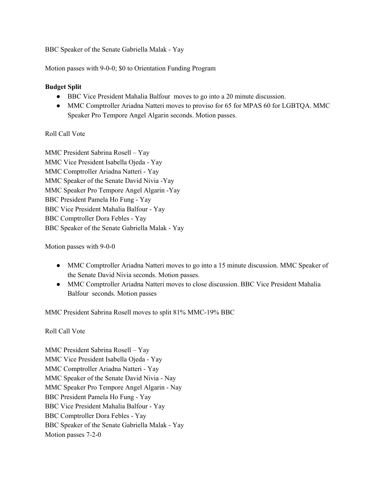BBC Speaker of the Senate Gabriella Malak - Yay

Motion passes with 9-0-0; \$0 to Orientation Funding Program

# **Budget Split**

- BBC Vice President Mahalia Balfour moves to go into a 20 minute discussion.
- MMC Comptroller Ariadna Natteri moves to proviso for 65 for MPAS 60 for LGBTQA. MMC Speaker Pro Tempore Angel Algarin seconds. Motion passes.

# Roll Call Vote

MMC President Sabrina Rosell – Yay MMC Vice President Isabella Ojeda - Yay MMC Comptroller Ariadna Natteri - Yay MMC Speaker of the Senate David Nivia -Yay MMC Speaker Pro Tempore Angel Algarin -Yay BBC President Pamela Ho Fung - Yay BBC Vice President Mahalia Balfour - Yay BBC Comptroller Dora Febles - Yay BBC Speaker of the Senate Gabriella Malak - Yay

Motion passes with 9-0-0

- MMC Comptroller Ariadna Natteri moves to go into a 15 minute discussion. MMC Speaker of the Senate David Nivia seconds. Motion passes.
- MMC Comptroller Ariadna Natteri moves to close discussion. BBC Vice President Mahalia Balfour seconds. Motion passes

MMC President Sabrina Rosell moves to split 81% MMC-19% BBC

Roll Call Vote

MMC President Sabrina Rosell – Yay MMC Vice President Isabella Ojeda - Yay MMC Comptroller Ariadna Natteri - Yay MMC Speaker of the Senate David Nivia - Nay MMC Speaker Pro Tempore Angel Algarin - Nay BBC President Pamela Ho Fung - Yay BBC Vice President Mahalia Balfour - Yay BBC Comptroller Dora Febles - Yay BBC Speaker of the Senate Gabriella Malak - Yay Motion passes 7-2-0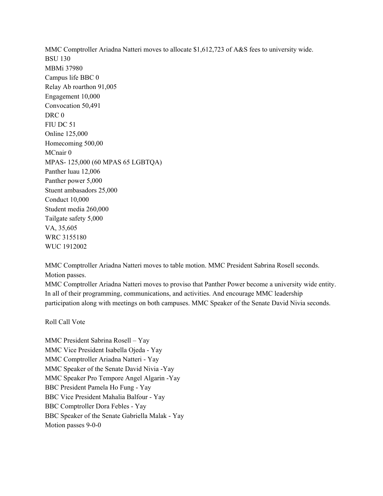MMC Comptroller Ariadna Natteri moves to allocate \$1,612,723 of A&S fees to university wide. BSU 130 MBMi 37980 Campus life BBC 0 Relay Ab roarthon 91,005 Engagement 10,000 Convocation 50,491 DRC 0 FIU DC 51 Online 125,000 Homecoming 500,00 MCnair 0 MPAS- 125,000 (60 MPAS 65 LGBTQA) Panther luau 12,006 Panther power 5,000 Stuent ambasadors 25,000 Conduct 10,000 Student media 260,000 Tailgate safety 5,000 VA, 35,605 WRC 3155180

MMC Comptroller Ariadna Natteri moves to table motion. MMC President Sabrina Rosell seconds. Motion passes.

MMC Comptroller Ariadna Natteri moves to proviso that Panther Power become a university wide entity. In all of their programming, communications, and activities. And encourage MMC leadership participation along with meetings on both campuses. MMC Speaker of the Senate David Nivia seconds.

Roll Call Vote

WUC 1912002

MMC President Sabrina Rosell – Yay MMC Vice President Isabella Ojeda - Yay MMC Comptroller Ariadna Natteri - Yay MMC Speaker of the Senate David Nivia -Yay MMC Speaker Pro Tempore Angel Algarin -Yay BBC President Pamela Ho Fung - Yay BBC Vice President Mahalia Balfour - Yay BBC Comptroller Dora Febles - Yay BBC Speaker of the Senate Gabriella Malak - Yay Motion passes 9-0-0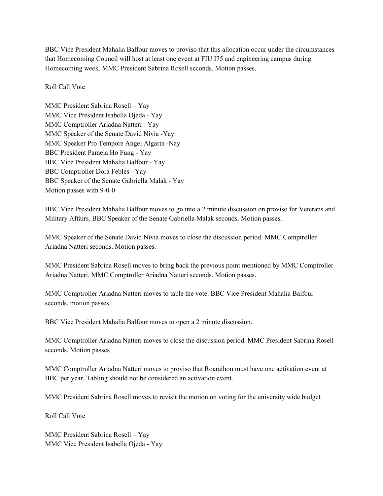BBC Vice President Mahalia Balfour moves to proviso that this allocation occur under the circumstances that Homecoming Council will host at least one event at FIU I75 and engineering campus during Homecoming week. MMC President Sabrina Rosell seconds. Motion passes.

#### Roll Call Vote

MMC President Sabrina Rosell – Yay MMC Vice President Isabella Ojeda - Yay MMC Comptroller Ariadna Natteri - Yay MMC Speaker of the Senate David Nivia -Yay MMC Speaker Pro Tempore Angel Algarin -Nay BBC President Pamela Ho Fung - Yay BBC Vice President Mahalia Balfour - Yay BBC Comptroller Dora Febles - Yay BBC Speaker of the Senate Gabriella Malak - Yay Motion passes with 9-0-0

BBC Vice President Mahalia Balfour moves to go into a 2 minute discussion on proviso for Veterans and Military Affairs. BBC Speaker of the Senate Gabriella Malak seconds. Motion passes.

MMC Speaker of the Senate David Nivia moves to close the discussion period. MMC Comptroller Ariadna Natteri seconds. Motion passes.

MMC President Sabrina Rosell moves to bring back the previous point mentioned by MMC Comptroller Ariadna Natteri. MMC Comptroller Ariadna Natteri seconds. Motion passes.

MMC Comptroller Ariadna Natteri moves to table the vote. BBC Vice President Mahalia Balfour seconds. motion passes.

BBC Vice President Mahalia Balfour moves to open a 2 minute discussion.

MMC Comptroller Ariadna Natteri moves to close the discussion period. MMC President Sabrina Rosell seconds. Motion passes

MMC Comptroller Ariadna Natteri moves to proviso that Roarathon must have one activation event at BBC per year. Tabling should not be considered an activation event.

MMC President Sabrina Rosell moves to revisit the motion on voting for the university wide budget

Roll Call Vote

MMC President Sabrina Rosell – Yay MMC Vice President Isabella Ojeda - Yay